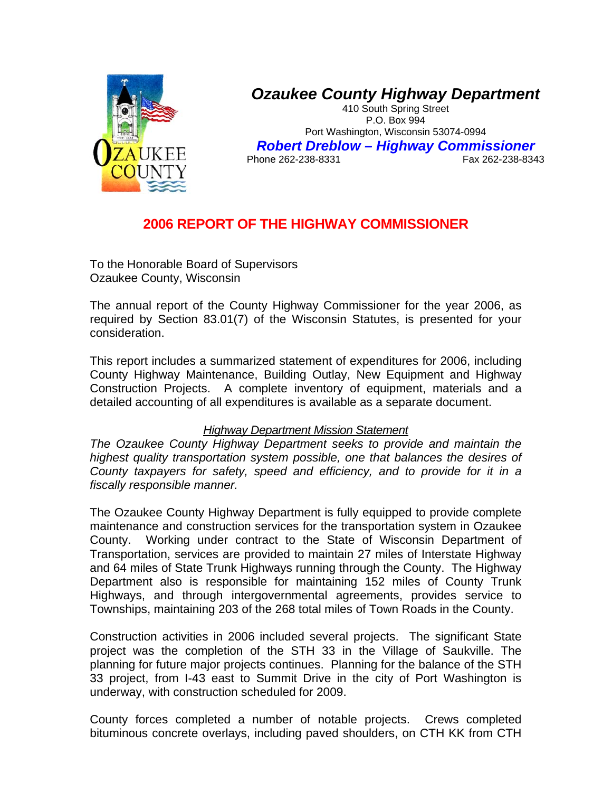

## *Ozaukee County Highway Department*

410 South Spring Street P.O. Box 994 Port Washington, Wisconsin 53074-0994 *Robert Dreblow – Highway Commissioner*  Phone 262-238-8331

## **2006 REPORT OF THE HIGHWAY COMMISSIONER**

To the Honorable Board of Supervisors Ozaukee County, Wisconsin

The annual report of the County Highway Commissioner for the year 2006, as required by Section 83.01(7) of the Wisconsin Statutes, is presented for your consideration.

This report includes a summarized statement of expenditures for 2006, including County Highway Maintenance, Building Outlay, New Equipment and Highway Construction Projects. A complete inventory of equipment, materials and a detailed accounting of all expenditures is available as a separate document.

## *Highway Department Mission Statement*

*The Ozaukee County Highway Department seeks to provide and maintain the highest quality transportation system possible, one that balances the desires of County taxpayers for safety, speed and efficiency, and to provide for it in a fiscally responsible manner.* 

The Ozaukee County Highway Department is fully equipped to provide complete maintenance and construction services for the transportation system in Ozaukee County. Working under contract to the State of Wisconsin Department of Transportation, services are provided to maintain 27 miles of Interstate Highway and 64 miles of State Trunk Highways running through the County. The Highway Department also is responsible for maintaining 152 miles of County Trunk Highways, and through intergovernmental agreements, provides service to Townships, maintaining 203 of the 268 total miles of Town Roads in the County.

Construction activities in 2006 included several projects. The significant State project was the completion of the STH 33 in the Village of Saukville. The planning for future major projects continues. Planning for the balance of the STH 33 project, from I-43 east to Summit Drive in the city of Port Washington is underway, with construction scheduled for 2009.

County forces completed a number of notable projects. Crews completed bituminous concrete overlays, including paved shoulders, on CTH KK from CTH